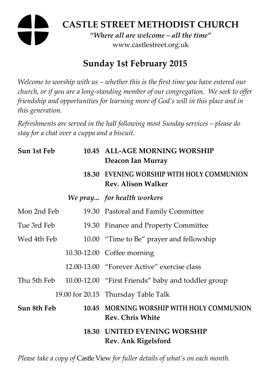# **CASTLE STREET METHODIST CHURCH**  *"Where all are welcome – all the time"*  www.castlestreet.org.uk

## **Sunday 1st February 2015**

*Welcome to worship with us – whether this is the first time you have entered our church, or if you are a long-standing member of our congregation. We seek to offer friendship and opportunities for learning more of God's will in this place and in this generation.* 

*Refreshments are served in the hall following most Sunday services – please do stay for a chat over a cuppa and a biscuit.* 

| Sun 1st Feb | 10.45 ALL-AGE MORNING WORSHIP<br>Deacon Ian Murray                     |
|-------------|------------------------------------------------------------------------|
|             | 18.30 EVENING WORSHIP WITH HOLY COMMUNION<br><b>Rev. Alison Walker</b> |
|             | We pray for health workers                                             |
| Mon 2nd Feb | 19.30 Pastoral and Family Committee                                    |
| Tue 3rd Feb | 19.30 Finance and Property Committee                                   |
| Wed 4th Feb | 10.00 "Time to Be" prayer and fellowship                               |
|             | 10.30-12.00 Coffee morning                                             |
|             | 12.00-13.00 "Forever Active" exercise class                            |
|             | Thu 5th Feb 10.00-12.00 "First Friends" baby and toddler group         |
|             | 19.00 for 20.15 Thursday Table Talk                                    |
| Sun 8th Feb | 10.45 MORNING WORSHIP WITH HOLY COMMUNION<br><b>Rev. Chris White</b>   |
|             | <b>18.30 UNITED EVENING WORSHIP</b><br>Rev. Ank Rigelsford             |

*Please take a copy of* Castle View *for fuller details of what's on each month.*